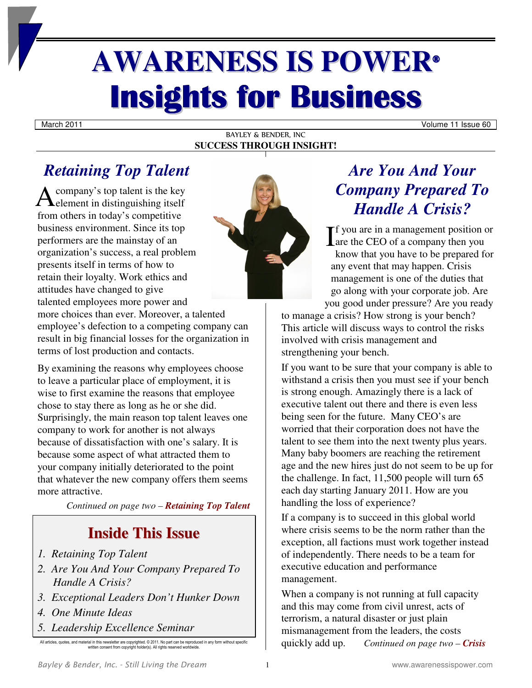# **AWARENESS IS POWER® Insights for Business**

March 2011 **Volume 11 Issue 60** 

#### BAYLEY & BENDER, INC **SUCCESS THROUGH INSIGHT!**

# *Retaining Top Talent*

company's top talent is the key  $\mathbf{A}$ company's top talent is the key<br>element in distinguishing itself from others in today's competitive business environment. Since its top performers are the mainstay of an organization's success, a real problem presents itself in terms of how to retain their loyalty. Work ethics and attitudes have changed to give talented employees more power and



more choices than ever. Moreover, a talented employee's defection to a competing company can result in big financial losses for the organization in terms of lost production and contacts.

By examining the reasons why employees choose to leave a particular place of employment, it is wise to first examine the reasons that employee chose to stay there as long as he or she did. Surprisingly, the main reason top talent leaves one company to work for another is not always because of dissatisfaction with one's salary. It is because some aspect of what attracted them to your company initially deteriorated to the point that whatever the new company offers them seems more attractive.

*Continued on page two – Retaining Top Talent*

# **Inside This Issue**

- *1. Retaining Top Talent*
- *2. Are You And Your Company Prepared To Handle A Crisis?*
- *3. Exceptional Leaders Don't Hunker Down*
- *4. One Minute Ideas*
- *5. Leadership Excellence Seminar*

All articles, quotes, and material in this newsletter are copyrighted. © 2011. No part can be reproduced in any form without specific written consent from copyright holder(s). All rights reserved worldwide.

# *Are You And Your Company Prepared To Handle A Crisis?*

f you are in a management position or  $\prod$  f you are in a management position of a company then you have that some house to be a generated for know that you have to be prepared for any event that may happen. Crisis management is one of the duties that go along with your corporate job. Are you good under pressure? Are you ready

to manage a crisis? How strong is your bench? This article will discuss ways to control the risks involved with crisis management and strengthening your bench.

If you want to be sure that your company is able to withstand a crisis then you must see if your bench is strong enough. Amazingly there is a lack of executive talent out there and there is even less being seen for the future. Many CEO's are worried that their corporation does not have the talent to see them into the next twenty plus years. Many baby boomers are reaching the retirement age and the new hires just do not seem to be up for the challenge. In fact, 11,500 people will turn 65 each day starting January 2011. How are you handling the loss of experience?

If a company is to succeed in this global world where crisis seems to be the norm rather than the exception, all factions must work together instead of independently. There needs to be a team for executive education and performance management.

When a company is not running at full capacity and this may come from civil unrest, acts of terrorism, a natural disaster or just plain mismanagement from the leaders, the costs quickly add up. *Continued on page two – Crisis*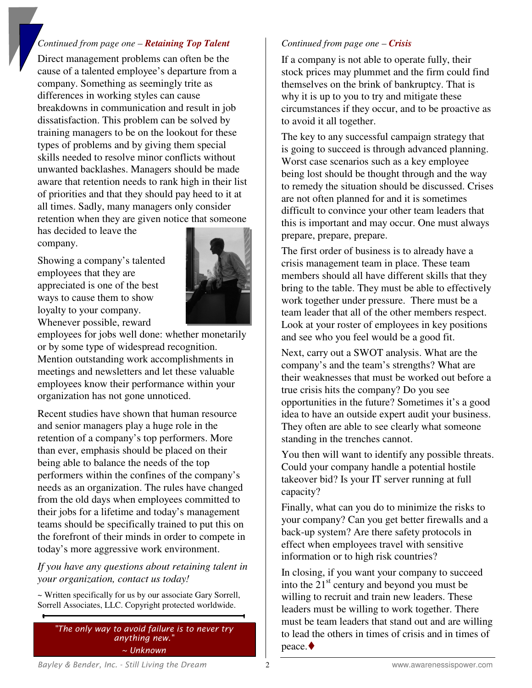## *Continued from page one – Retaining Top Talent*

Direct management problems can often be the cause of a talented employee's departure from a company. Something as seemingly trite as differences in working styles can cause breakdowns in communication and result in job dissatisfaction. This problem can be solved by training managers to be on the lookout for these types of problems and by giving them special skills needed to resolve minor conflicts without unwanted backlashes. Managers should be made aware that retention needs to rank high in their list of priorities and that they should pay heed to it at all times. Sadly, many managers only consider retention when they are given notice that someone

has decided to leave the company.

Showing a company's talented employees that they are appreciated is one of the best ways to cause them to show loyalty to your company. Whenever possible, reward



employees for jobs well done: whether monetarily or by some type of widespread recognition. Mention outstanding work accomplishments in meetings and newsletters and let these valuable employees know their performance within your organization has not gone unnoticed.

Recent studies have shown that human resource and senior managers play a huge role in the retention of a company's top performers. More than ever, emphasis should be placed on their being able to balance the needs of the top performers within the confines of the company's needs as an organization. The rules have changed from the old days when employees committed to their jobs for a lifetime and today's management teams should be specifically trained to put this on the forefront of their minds in order to compete in today's more aggressive work environment.

*If you have any questions about retaining talent in your organization, contact us today!* 

~ Written specifically for us by our associate Gary Sorrell, Sorrell Associates, LLC. Copyright protected worldwide.

*"The only way to avoid failure is to never try anything new." ~ Unknown* 

## *Continued from page one – Crisis*

If a company is not able to operate fully, their stock prices may plummet and the firm could find themselves on the brink of bankruptcy. That is why it is up to you to try and mitigate these circumstances if they occur, and to be proactive as to avoid it all together.

The key to any successful campaign strategy that is going to succeed is through advanced planning. Worst case scenarios such as a key employee being lost should be thought through and the way to remedy the situation should be discussed. Crises are not often planned for and it is sometimes difficult to convince your other team leaders that this is important and may occur. One must always prepare, prepare, prepare.

The first order of business is to already have a crisis management team in place. These team members should all have different skills that they bring to the table. They must be able to effectively work together under pressure. There must be a team leader that all of the other members respect. Look at your roster of employees in key positions and see who you feel would be a good fit.

Next, carry out a SWOT analysis. What are the company's and the team's strengths? What are their weaknesses that must be worked out before a true crisis hits the company? Do you see opportunities in the future? Sometimes it's a good idea to have an outside expert audit your business. They often are able to see clearly what someone standing in the trenches cannot.

You then will want to identify any possible threats. Could your company handle a potential hostile takeover bid? Is your IT server running at full capacity?

Finally, what can you do to minimize the risks to your company? Can you get better firewalls and a back-up system? Are there safety protocols in effect when employees travel with sensitive information or to high risk countries?

In closing, if you want your company to succeed into the  $21<sup>st</sup>$  century and beyond you must be willing to recruit and train new leaders. These leaders must be willing to work together. There must be team leaders that stand out and are willing to lead the others in times of crisis and in times of peace.♦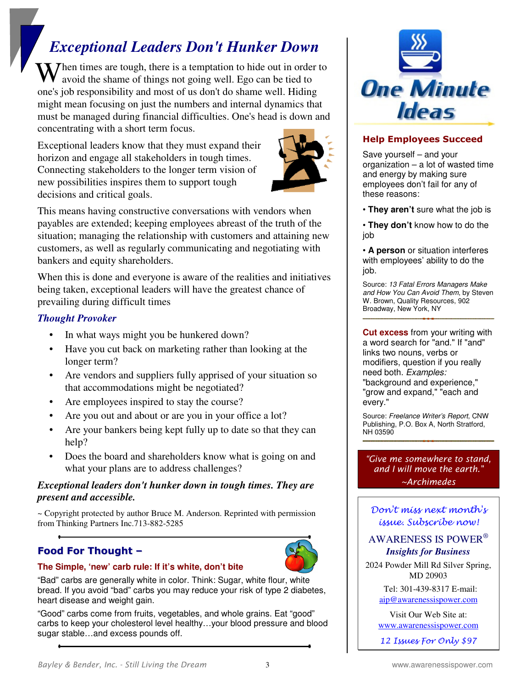# *Exceptional Leaders Don't Hunker Down*

When times are tough, there is a temptation to hide out in order to avoid the shame of things not going well. Ego can be tied to avoid the shame of things not going well. Ego can be tied to one's job responsibility and most of us don't do shame well. Hiding might mean focusing on just the numbers and internal dynamics that must be managed during financial difficulties. One's head is down and concentrating with a short term focus.

Exceptional leaders know that they must expand their horizon and engage all stakeholders in tough times. Connecting stakeholders to the longer term vision of new possibilities inspires them to support tough decisions and critical goals.



This means having constructive conversations with vendors when payables are extended; keeping employees abreast of the truth of the situation; managing the relationship with customers and attaining new customers, as well as regularly communicating and negotiating with bankers and equity shareholders.

When this is done and everyone is aware of the realities and initiatives being taken, exceptional leaders will have the greatest chance of prevailing during difficult times

# *Thought Provoker*

- In what ways might you be hunkered down?
- Have you cut back on marketing rather than looking at the longer term?
- Are vendors and suppliers fully apprised of your situation so that accommodations might be negotiated?
- Are employees inspired to stay the course?
- Are you out and about or are you in your office a lot?
- Are your bankers being kept fully up to date so that they can help?
- Does the board and shareholders know what is going on and what your plans are to address challenges?

# *Exceptional leaders don't hunker down in tough times. They are present and accessible.*

 $\sim$  Copyright protected by author Bruce M. Anderson. Reprinted with permission from Thinking Partners Inc.713-882-5285

# **Food For Thought –**



#### **The Simple, 'new' carb rule: If it's white, don't bite**

"Bad" carbs are generally white in color. Think: Sugar, white flour, white bread. If you avoid "bad" carbs you may reduce your risk of type 2 diabetes, heart disease and weight gain.

"Good" carbs come from fruits, vegetables, and whole grains. Eat "good" carbs to keep your cholesterol level healthy…your blood pressure and blood sugar stable…and excess pounds off.



# **Help Employees Succeed**

Save yourself – and your organization – a lot of wasted time and energy by making sure employees don't fail for any of these reasons:

• **They aren't** sure what the job is

• **They don't** know how to do the job

• **A person** or situation interferes with employees' ability to do the job.

Source: 13 Fatal Errors Managers Make and How You Can Avoid Them, by Steven W. Brown, Quality Resources, 902 Broadway, New York, NY

**Cut excess** from your writing with a word search for "and." If "and" links two nouns, verbs or modifiers, question if you really need both. Examples: "background and experience," "grow and expand," "each and every."

Source: Freelance Writer's Report, CNW Publishing, P.O. Box A, North Stratford, NH 03590

*"Give me somewhere to stand, and I will move the earth." ~Archimedes* 

Don't miss next month's issue. Subscribe now!

## AWARENESS IS POWER®  *Insights for Business*

2024 Powder Mill Rd Silver Spring, MD 20903

> Tel: 301-439-8317 E-mail: aip@awarenessispower.com

Visit Our Web Site at: www.awarenessispower.com

12 Issues For Only \$97